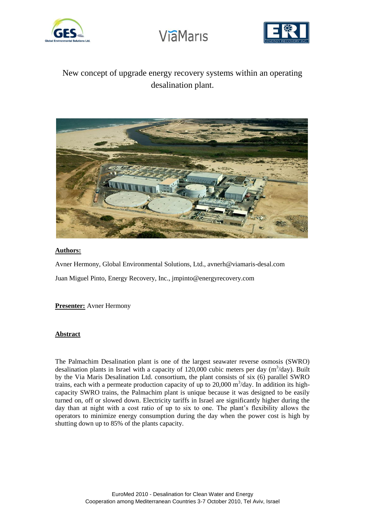



## New concept of upgrade energy recovery systems within an operating desalination plant.



#### **Authors:**

Avner Hermony, Global Environmental Solutions, Ltd., avnerh@viamaris-desal.com Juan Miguel Pinto, Energy Recovery, Inc., jmpinto@energyrecovery.com

#### **Presenter:** Avner Hermony

#### **Abstract**

The Palmachim Desalination plant is one of the largest seawater reverse osmosis (SWRO) desalination plants in Israel with a capacity of 120,000 cubic meters per day  $(m^3/day)$ . Built by the Via Maris Desalination Ltd. consortium, the plant consists of six (6) parallel SWRO trains, each with a permeate production capacity of up to 20,000  $\text{m}^3/\text{day}$ . In addition its highcapacity SWRO trains, the Palmachim plant is unique because it was designed to be easily turned on, off or slowed down. Electricity tariffs in Israel are significantly higher during the day than at night with a cost ratio of up to six to one. The plant's flexibility allows the operators to minimize energy consumption during the day when the power cost is high by shutting down up to 85% of the plants capacity.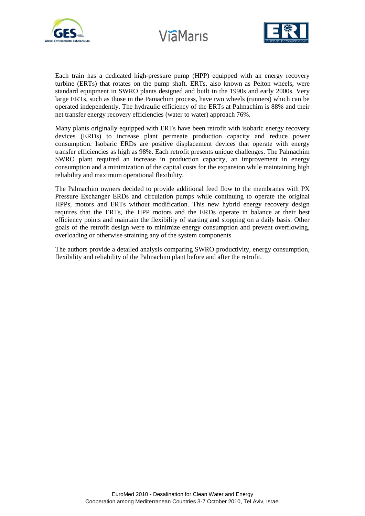





Each train has a dedicated high-pressure pump (HPP) equipped with an energy recovery turbine (ERTs) that rotates on the pump shaft. ERTs, also known as Pelton wheels, were standard equipment in SWRO plants designed and built in the 1990s and early 2000s. Very large ERTs, such as those in the Pamachim process, have two wheels (runners) which can be operated independently. The hydraulic efficiency of the ERTs at Palmachim is 88% and their net transfer energy recovery efficiencies (water to water) approach 76%.

Many plants originally equipped with ERTs have been retrofit with isobaric energy recovery devices (ERDs) to increase plant permeate production capacity and reduce power consumption. Isobaric ERDs are positive displacement devices that operate with energy transfer efficiencies as high as 98%. Each retrofit presents unique challenges. The Palmachim SWRO plant required an increase in production capacity, an improvement in energy consumption and a minimization of the capital costs for the expansion while maintaining high reliability and maximum operational flexibility.

The Palmachim owners decided to provide additional feed flow to the membranes with PX Pressure Exchanger ERDs and circulation pumps while continuing to operate the original HPPs, motors and ERTs without modification. This new hybrid energy recovery design requires that the ERTs, the HPP motors and the ERDs operate in balance at their best efficiency points and maintain the flexibility of starting and stopping on a daily basis. Other goals of the retrofit design were to minimize energy consumption and prevent overflowing, overloading or otherwise straining any of the system components.

The authors provide a detailed analysis comparing SWRO productivity, energy consumption, flexibility and reliability of the Palmachim plant before and after the retrofit.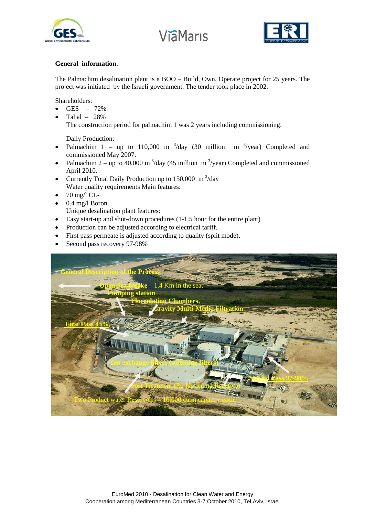





#### **General information.**

The Palmachim desalination plant is a BOO – Build, Own, Operate project for 25 years. The project was initiated by the Israeli government. The tender took place in 2002.

Shareholders:

- GES  $72%$
- Tahal 28%

The construction period for palmachim 1 was 2 years including commissioning.

Daily Production:

- Palmachim 1 up to 110,000 m  $3$ /day (30 million m  $3$ /year) Completed and commissioned May 2007.
- Palmachim 2 up to 40,000 m<sup>3</sup>/day (45 million m<sup>3</sup>/year) Completed and commissioned April 2010.
- Currently Total Daily Production up to  $150,000 \text{ m}^3/\text{day}$ Water quality requirements Main features:
- $\bullet$  70 mg/l CL-
- $\bullet$  0.4 mg/l Boron

Unique desalination plant features:

- Easy start-up and shut-down procedures (1-1.5 hour for the entire plant)
- Production can be adjusted according to electrical tariff.
- First pass permeate is adjusted according to quality (split mode).
- Second pass recovery 97-98%

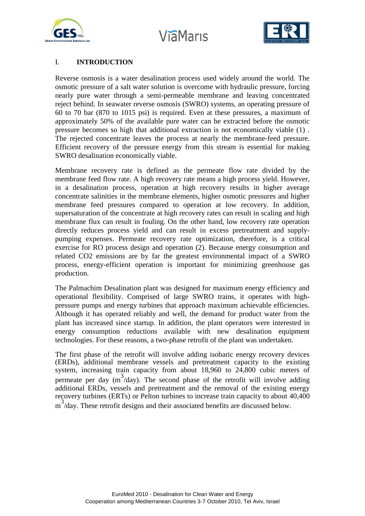



### I. **INTRODUCTION**

Reverse osmosis is a water desalination process used widely around the world. The osmotic pressure of a salt water solution is overcome with hydraulic pressure, forcing nearly pure water through a semi-permeable membrane and leaving concentrated reject behind. In seawater reverse osmosis (SWRO) systems, an operating pressure of 60 to 70 bar (870 to 1015 psi) is required. Even at these pressures, a maximum of approximately 50% of the available pure water can be extracted before the osmotic pressure becomes so high that additional extraction is not economically viable (1) . The rejected concentrate leaves the process at nearly the membrane-feed pressure. Efficient recovery of the pressure energy from this stream is essential for making SWRO desalination economically viable.

Membrane recovery rate is defined as the permeate flow rate divided by the membrane feed flow rate. A high recovery rate means a high process yield. However, in a desalination process, operation at high recovery results in higher average concentrate salinities in the membrane elements, higher osmotic pressures and higher membrane feed pressures compared to operation at low recovery. In addition, supersaturation of the concentrate at high recovery rates can result in scaling and high membrane flux can result in fouling. On the other hand, low recovery rate operation directly reduces process yield and can result in excess pretreatment and supplypumping expenses. Permeate recovery rate optimization, therefore, is a critical exercise for RO process design and operation (2). Because energy consumption and related CO2 emissions are by far the greatest environmental impact of a SWRO process, energy-efficient operation is important for minimizing greenhouse gas production.

The Palmachim Desalination plant was designed for maximum energy efficiency and operational flexibility. Comprised of large SWRO trains, it operates with highpressure pumps and energy turbines that approach maximum achievable efficiencies. Although it has operated reliably and well, the demand for product water from the plant has increased since startup. In addition, the plant operators were interested in energy consumption reductions available with new desalination equipment technologies. For these reasons, a two-phase retrofit of the plant was undertaken.

The first phase of the retrofit will involve adding isobaric energy recovery devices (ERDs), additional membrane vessels and pretreatment capacity to the existing system, increasing train capacity from about 18,960 to 24,800 cubic meters of permeate per day  $(m^3/day)$ . The second phase of the retrofit will involve adding additional ERDs, vessels and pretreatment and the removal of the existing energy recovery turbines (ERTs) or Pelton turbines to increase train capacity to about 40,400 m<sup>3</sup>/day. These retrofit designs and their associated benefits are discussed below.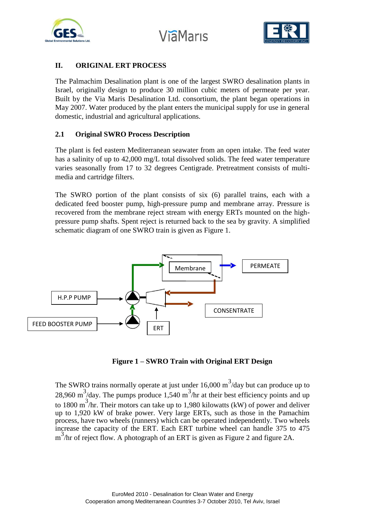



## **II. ORIGINAL ERT PROCESS**

The Palmachim Desalination plant is one of the largest SWRO desalination plants in Israel, originally design to produce 30 million cubic meters of permeate per year. Built by the Via Maris Desalination Ltd. consortium, the plant began operations in May 2007. Water produced by the plant enters the municipal supply for use in general domestic, industrial and agricultural applications.

## **2.1 Original SWRO Process Description**

The plant is fed eastern Mediterranean seawater from an open intake. The feed water has a salinity of up to 42,000 mg/L total dissolved solids. The feed water temperature varies seasonally from 17 to 32 degrees Centigrade. Pretreatment consists of multimedia and cartridge filters.

The SWRO portion of the plant consists of six (6) parallel trains, each with a dedicated feed booster pump, high-pressure pump and membrane array. Pressure is recovered from the membrane reject stream with energy ERTs mounted on the highpressure pump shafts. Spent reject is returned back to the sea by gravity. A simplified schematic diagram of one SWRO train is given as Figure 1.



Figure 1 - SWRO Train with Original ERT Design

The SWRO trains normally operate at just under  $16,000 \text{ m}^3/\text{day}$  but can produce up to 28,960 m<sup>3</sup>/day. The pumps produce 1,540 m<sup>3</sup>/hr at their best efficiency points and up to 1800 m<sup>3</sup>/hr. Their motors can take up to 1,980 kilowatts (kW) of power and deliver up to 1,920 kW of brake power. Very large ERTs, such as those in the Pamachim process, have two wheels (runners) which can be operated independently. Two wheels increase the capacity of the ERT. Each ERT turbine wheel can handle 375 to 475 m<sup>3</sup>/hr of reject flow. A photograph of an ERT is given as Figure 2 and figure 2A.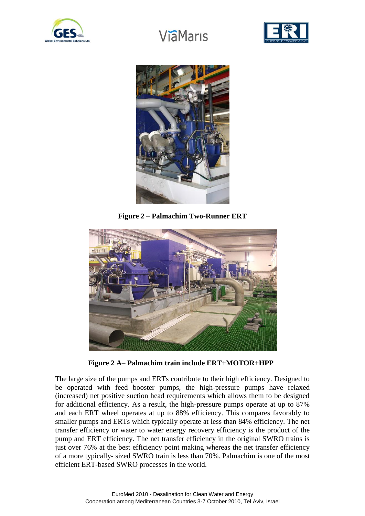





**Figure 2 – Palmachim Two-Runner ERT**



 **Figure 2 A– Palmachim train include ERT+MOTOR+HPP**

The large size of the pumps and ERTs contribute to their high efficiency. Designed to be operated with feed booster pumps, the high-pressure pumps have relaxed (increased) net positive suction head requirements which allows them to be designed for additional efficiency. As a result, the high-pressure pumps operate at up to 87% and each ERT wheel operates at up to 88% efficiency. This compares favorably to smaller pumps and ERTs which typically operate at less than 84% efficiency. The net transfer efficiency or water to water energy recovery efficiency is the product of the pump and ERT efficiency. The net transfer efficiency in the original SWRO trains is just over 76% at the best efficiency point making whereas the net transfer efficiency of a more typically- sized SWRO train is less than 70%. Palmachim is one of the most efficient ERT-based SWRO processes in the world.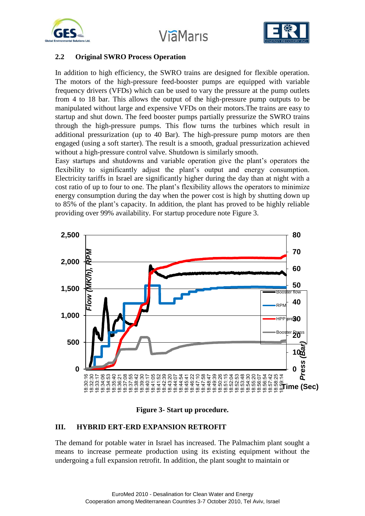



#### **2.2 Original SWRO Process Operation**

In addition to high efficiency, the SWRO trains are designed for flexible operation. The motors of the high-pressure feed-booster pumps are equipped with variable frequency drivers (VFDs) which can be used to vary the pressure at the pump outlets from 4 to 18 bar. This allows the output of the high-pressure pump outputs to be manipulated without large and expensive VFDs on their motors.The trains are easy to startup and shut down. The feed booster pumps partially pressurize the SWRO trains through the high-pressure pumps. This flow turns the turbines which result in additional pressurization (up to 40 Bar). The high-pressure pump motors are then engaged (using a soft starter). The result is a smooth, gradual pressurization achieved without a high-pressure control valve. Shutdown is similarly smooth.

Easy startups and shutdowns and variable operation give the plant's operators the flexibility to significantly adjust the plant's output and energy consumption. Electricity tariffs in Israel are significantly higher during the day than at night with a cost ratio of up to four to one. The plant's flexibility allows the operators to minimize energy consumption during the day when the power cost is high by shutting down up to 85% of the plant's capacity. In addition, the plant has proved to be highly reliable providing over 99% availability. For startup procedure note Figure 3.





#### **III. HYBRID ERT-ERD EXPANSION RETROFIT**

The demand for potable water in Israel has increased. The Palmachim plant sought a means to increase permeate production using its existing equipment without the undergoing a full expansion retrofit. In addition, the plant sought to maintain or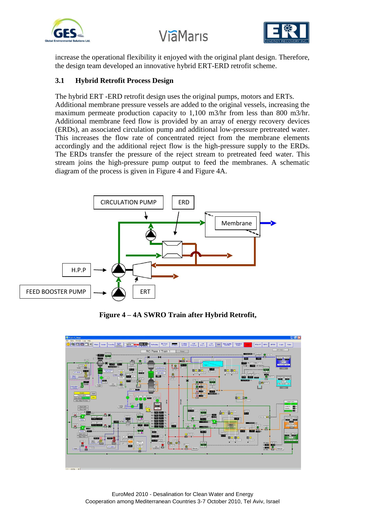



increase the operational flexibility it enjoyed with the original plant design. Therefore, the design team developed an innovative hybrid ERT-ERD retrofit scheme.

## **3.1 Hybrid Retrofit Process Design**

The hybrid ERT -ERD retrofit design uses the original pumps, motors and ERTs. Additional membrane pressure vessels are added to the original vessels, increasing the maximum permeate production capacity to 1,100 m3/hr from less than 800 m3/hr. Additional membrane feed flow is provided by an array of energy recovery devices (ERDs), an associated circulation pump and additional low-pressure pretreated water. This increases the flow rate of concentrated reject from the membrane elements accordingly and the additional reject flow is the high-pressure supply to the ERDs. The ERDs transfer the pressure of the reject stream to pretreated feed water. This stream joins the high-pressure pump output to feed the membranes. A schematic diagram of the process is given in Figure 4 and Figure 4A.



**Figure 4 – 4A SWRO Train after Hybrid Retrofit,** 

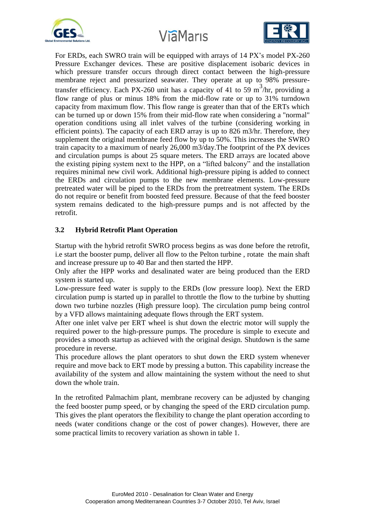



For ERDs, each SWRO train will be equipped with arrays of 14 PX's model PX-260 Pressure Exchanger devices. These are positive displacement isobaric devices in which pressure transfer occurs through direct contact between the high-pressure membrane reject and pressurized seawater. They operate at up to 98% pressuretransfer efficiency. Each PX-260 unit has a capacity of 41 to 59 m<sup>3</sup>/hr, providing a flow range of plus or minus 18% from the mid-flow rate or up to 31% turndown capacity from maximum flow. This flow range is greater than that of the ERTs which can be turned up or down 15% from their mid-flow rate when considering a "normal" operation conditions using all inlet valves of the turbine (considering working in efficient points). The capacity of each ERD array is up to 826 m3/hr. Therefore, they supplement the original membrane feed flow by up to 50%. This increases the SWRO train capacity to a maximum of nearly 26,000 m3/day.The footprint of the PX devices and circulation pumps is about 25 square meters. The ERD arrays are located above the existing piping system next to the HPP, on a "lifted balcony" and the installation requires minimal new civil work. Additional high-pressure piping is added to connect the ERDs and circulation pumps to the new membrane elements. Low-pressure pretreated water will be piped to the ERDs from the pretreatment system. The ERDs do not require or benefit from boosted feed pressure. Because of that the feed booster system remains dedicated to the high-pressure pumps and is not affected by the retrofit.

## **3.2 Hybrid Retrofit Plant Operation**

Startup with the hybrid retrofit SWRO process begins as was done before the retrofit, i.e start the booster pump, deliver all flow to the Pelton turbine , rotate the main shaft and increase pressure up to 40 Bar and then started the HPP.

Only after the HPP works and desalinated water are being produced than the ERD system is started up.

Low-pressure feed water is supply to the ERDs (low pressure loop). Next the ERD circulation pump is started up in parallel to throttle the flow to the turbine by shutting down two turbine nozzles (High pressure loop). The circulation pump being control by a VFD allows maintaining adequate flows through the ERT system.

After one inlet valve per ERT wheel is shut down the electric motor will supply the required power to the high-pressure pumps. The procedure is simple to execute and provides a smooth startup as achieved with the original design. Shutdown is the same procedure in reverse.

This procedure allows the plant operators to shut down the ERD system whenever require and move back to ERT mode by pressing a button. This capability increase the availability of the system and allow maintaining the system without the need to shut down the whole train.

In the retrofited Palmachim plant, membrane recovery can be adjusted by changing the feed booster pump speed, or by changing the speed of the ERD circulation pump. This gives the plant operators the flexibility to change the plant operation according to needs (water conditions change or the cost of power changes). However, there are some practical limits to recovery variation as shown in table 1.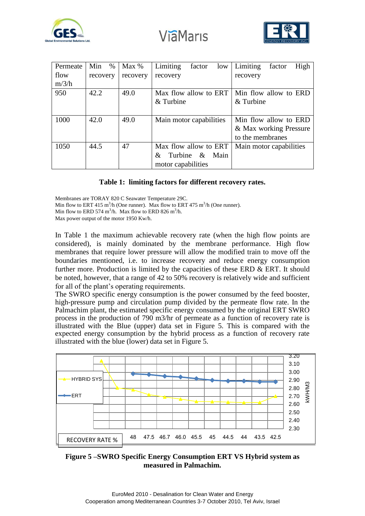



| Permeate | Min<br>$\%$ | Max %    | Limiting<br>factor<br>low | Limiting<br>High<br>factor |  |
|----------|-------------|----------|---------------------------|----------------------------|--|
| flow     | recovery    | recovery | recovery                  | recovery                   |  |
| m/3/h    |             |          |                           |                            |  |
| 950      | 42.2        | 49.0     | Max flow allow to ERT     | Min flow allow to ERD      |  |
|          |             |          | & Turbine                 | $&$ Turbine                |  |
|          |             |          |                           |                            |  |
| 1000     | 42.0        | 49.0     | Main motor capabilities   | Min flow allow to ERD      |  |
|          |             |          |                           | & Max working Pressure     |  |
|          |             |          |                           | to the membranes           |  |
| 1050     | 44.5        | 47       | Max flow allow to ERT     | Main motor capabilities    |  |
|          |             |          | Turbine & Main<br>&       |                            |  |
|          |             |          | motor capabilities        |                            |  |

#### **Table 1: limiting factors for different recovery rates.**

Membranes are TORAY 820 C Seawater Temperature 29C. Min flow to ERT 415 m<sup>3</sup>/h (One runner). Max flow to ERT 475 m<sup>3</sup>/h (One runner). Min flow to ERD 574  $\text{m}^3/\text{h}$ . Max flow to ERD 826  $\text{m}^3/\text{h}$ . Max power output of the motor 1950 Kw/h.

In Table 1 the maximum achievable recovery rate (when the high flow points are considered), is mainly dominated by the membrane performance. High flow membranes that require lower pressure will allow the modified train to move off the boundaries mentioned, i.e. to increase recovery and reduce energy consumption further more. Production is limited by the capacities of these ERD & ERT. It should be noted, however, that a range of 42 to 50% recovery is relatively wide and sufficient for all of the plant's operating requirements.

The SWRO specific energy consumption is the power consumed by the feed booster, high-pressure pump and circulation pump divided by the permeate flow rate. In the Palmachim plant, the estimated specific energy consumed by the original ERT SWRO process in the production of 790 m3/hr of permeate as a function of recovery rate is illustrated with the Blue (upper) data set in Figure 5. This is compared with the expected energy consumption by the hybrid process as a function of recovery rate illustrated with the blue (lower) data set in Figure 5.



**Figure 5 –SWRO Specific Energy Consumption ERT VS Hybrid system as measured in Palmachim.**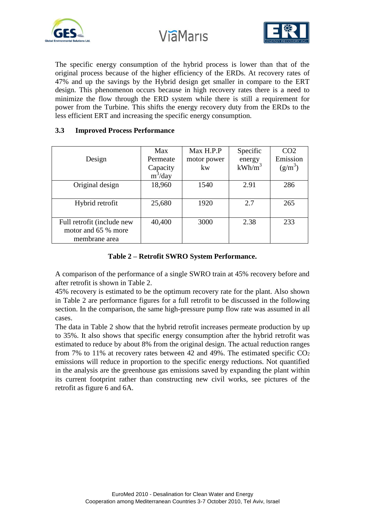



The specific energy consumption of the hybrid process is lower than that of the original process because of the higher efficiency of the ERDs. At recovery rates of 47% and up the savings by the Hybrid design get smaller in compare to the ERT design. This phenomenon occurs because in high recovery rates there is a need to minimize the flow through the ERD system while there is still a requirement for power from the Turbine. This shifts the energy recovery duty from the ERDs to the less efficient ERT and increasing the specific energy consumption.

| Design                                                             | Max<br>Permeate<br>Capacity<br>$m^3$ /day | Max H.P.P<br>motor power<br>kw | Specific<br>energy<br>$kWh/m^3$ | CO <sub>2</sub><br>Emission<br>$(g/m^3)$ |
|--------------------------------------------------------------------|-------------------------------------------|--------------------------------|---------------------------------|------------------------------------------|
| Original design                                                    | 18,960                                    | 1540                           | 2.91                            | 286                                      |
| Hybrid retrofit                                                    | 25,680                                    | 1920                           | 2.7                             | 265                                      |
| Full retrofit (include new<br>motor and 65 % more<br>membrane area | 40,400                                    | 3000                           | 2.38                            | 233                                      |

## **3.3 Improved Process Performance**

### **Table 2 – Retrofit SWRO System Performance.**

A comparison of the performance of a single SWRO train at 45% recovery before and after retrofit is shown in Table 2.

45% recovery is estimated to be the optimum recovery rate for the plant. Also shown in Table 2 are performance figures for a full retrofit to be discussed in the following section. In the comparison, the same high-pressure pump flow rate was assumed in all cases.

The data in Table 2 show that the hybrid retrofit increases permeate production by up to 35%. It also shows that specific energy consumption after the hybrid retrofit was estimated to reduce by about 8% from the original design. The actual reduction ranges from 7% to 11% at recovery rates between 42 and 49%. The estimated specific  $CO<sub>2</sub>$ emissions will reduce in proportion to the specific energy reductions. Not quantified in the analysis are the greenhouse gas emissions saved by expanding the plant within its current footprint rather than constructing new civil works, see pictures of the retrofit as figure 6 and 6A.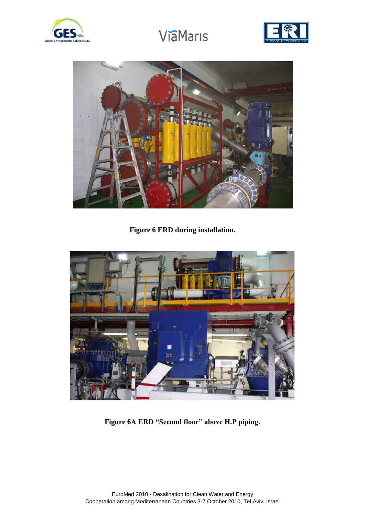





**Figure 6 ERD during installation.**



**Figure 6A ERD "Second floor" above H.P piping.**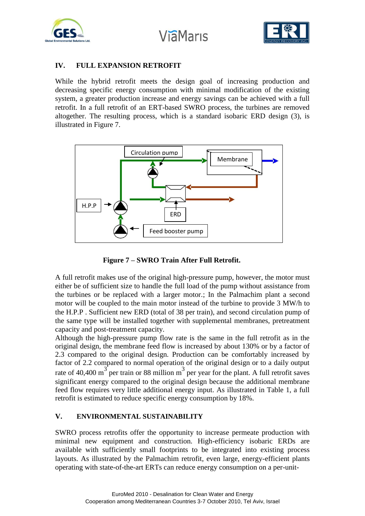





## **IV. FULL EXPANSION RETROFIT**

While the hybrid retrofit meets the design goal of increasing production and decreasing specific energy consumption with minimal modification of the existing system, a greater production increase and energy savings can be achieved with a full retrofit. In a full retrofit of an ERT-based SWRO process, the turbines are removed altogether. The resulting process, which is a standard isobaric ERD design (3), is illustrated in Figure 7.



 **Figure 7 – SWRO Train After Full Retrofit.**

A full retrofit makes use of the original high-pressure pump, however, the motor must either be of sufficient size to handle the full load of the pump without assistance from the turbines or be replaced with a larger motor.; In the Palmachim plant a second motor will be coupled to the main motor instead of the turbine to provide 3 MW/h to the H.P.P . Sufficient new ERD (total of 38 per train), and second circulation pump of the same type will be installed together with supplemental membranes, pretreatment capacity and post-treatment capacity.

Although the high-pressure pump flow rate is the same in the full retrofit as in the original design, the membrane feed flow is increased by about 130% or by a factor of 2.3 compared to the original design. Production can be comfortably increased by factor of 2.2 compared to normal operation of the original design or to a daily output rate of 40,400 m<sup>3</sup> per train or 88 million m<sup>3</sup> per year for the plant. A full retrofit saves significant energy compared to the original design because the additional membrane feed flow requires very little additional energy input. As illustrated in Table 1, a full retrofit is estimated to reduce specific energy consumption by 18%.

## **V. ENVIRONMENTAL SUSTAINABILITY**

SWRO process retrofits offer the opportunity to increase permeate production with minimal new equipment and construction. High-efficiency isobaric ERDs are available with sufficiently small footprints to be integrated into existing process layouts. As illustrated by the Palmachim retrofit, even large, energy-efficient plants operating with state-of-the-art ERTs can reduce energy consumption on a per-unit-